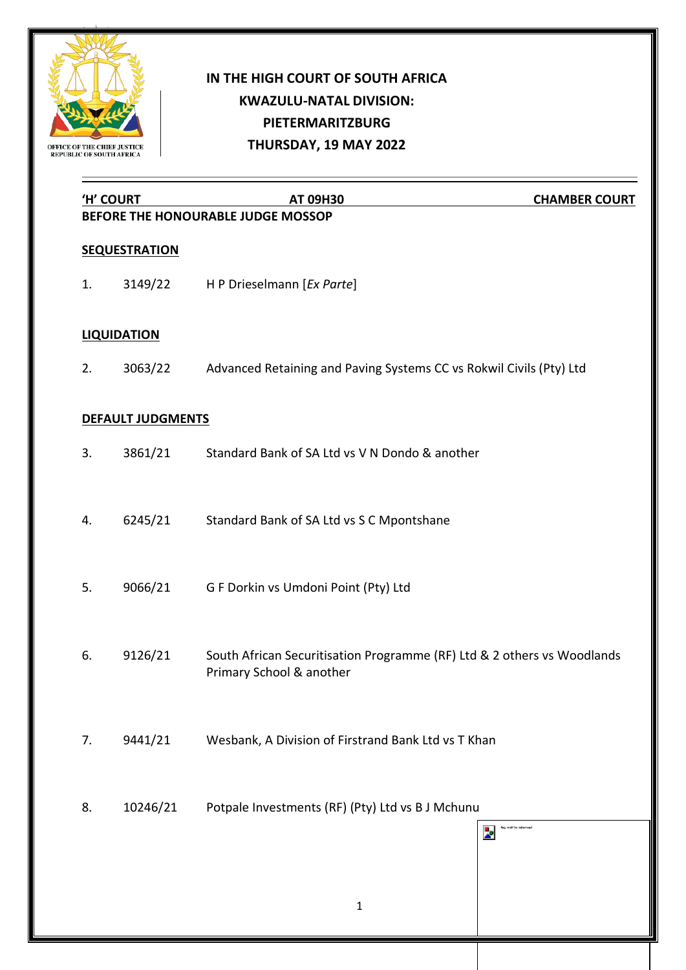

## **IN THE HIGH COURT OF SOUTH AFRICA KWAZULU-NATAL DIVISION: PIETERMARITZBURG THURSDAY, 19 MAY 2022**

| 'H' COURT |                          | <b>AT 09H30</b>                                                                                     | <b>CHAMBER COURT</b>    |
|-----------|--------------------------|-----------------------------------------------------------------------------------------------------|-------------------------|
|           |                          | BEFORE THE HONOURABLE JUDGE MOSSOP                                                                  |                         |
|           | <b>SEQUESTRATION</b>     |                                                                                                     |                         |
| 1.        | 3149/22                  | H P Drieselmann [Ex Parte]                                                                          |                         |
|           | <b>LIQUIDATION</b>       |                                                                                                     |                         |
| 2.        | 3063/22                  | Advanced Retaining and Paving Systems CC vs Rokwil Civils (Pty) Ltd                                 |                         |
|           | <b>DEFAULT JUDGMENTS</b> |                                                                                                     |                         |
| 3.        | 3861/21                  | Standard Bank of SA Ltd vs V N Dondo & another                                                      |                         |
| 4.        | 6245/21                  | Standard Bank of SA Ltd vs S C Mpontshane                                                           |                         |
| 5.        | 9066/21                  | G F Dorkin vs Umdoni Point (Pty) Ltd                                                                |                         |
| 6.        | 9126/21                  | South African Securitisation Programme (RF) Ltd & 2 others vs Woodlands<br>Primary School & another |                         |
| 7.        | 9441/21                  | Wesbank, A Division of Firstrand Bank Ltd vs T Khan                                                 |                         |
| 8.        | 10246/21                 | Potpale Investments (RF) (Pty) Ltd vs B J Mchunu                                                    | ag motif for letterhear |
|           |                          | Þ.                                                                                                  |                         |
|           |                          | $\mathbf{1}$                                                                                        |                         |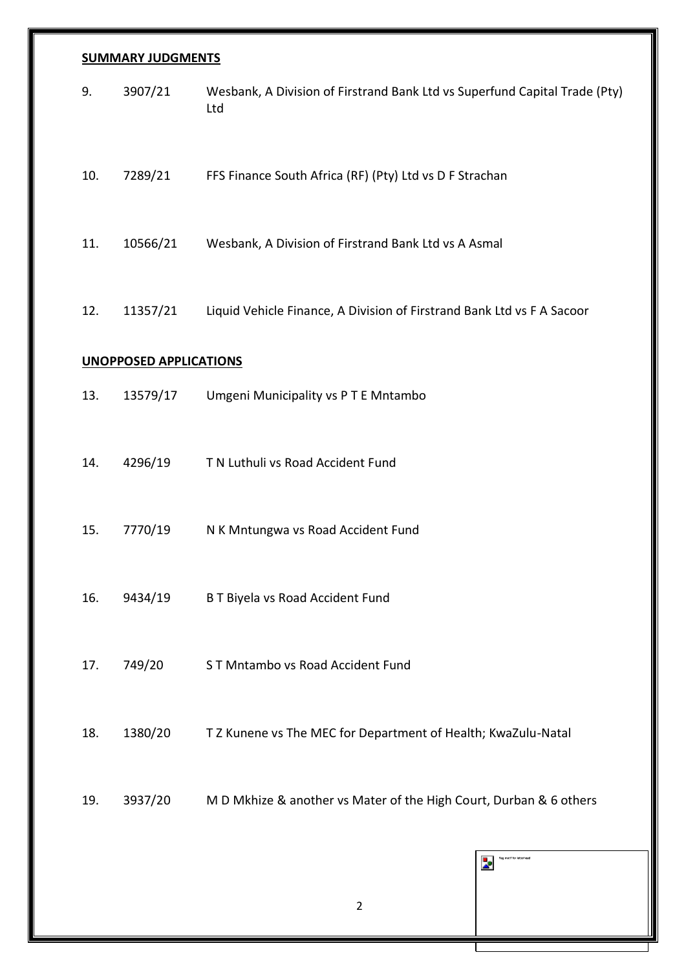## **SUMMARY JUDGMENTS**

| 9.                            | 3907/21  | Wesbank, A Division of Firstrand Bank Ltd vs Superfund Capital Trade (Pty)<br>Ltd |  |  |  |
|-------------------------------|----------|-----------------------------------------------------------------------------------|--|--|--|
| 10.                           | 7289/21  | FFS Finance South Africa (RF) (Pty) Ltd vs D F Strachan                           |  |  |  |
| 11.                           | 10566/21 | Wesbank, A Division of Firstrand Bank Ltd vs A Asmal                              |  |  |  |
| 12.                           | 11357/21 | Liquid Vehicle Finance, A Division of Firstrand Bank Ltd vs F A Sacoor            |  |  |  |
| <b>UNOPPOSED APPLICATIONS</b> |          |                                                                                   |  |  |  |
| 13.                           | 13579/17 | Umgeni Municipality vs PTE Mntambo                                                |  |  |  |
| 14.                           | 4296/19  | T N Luthuli vs Road Accident Fund                                                 |  |  |  |
| 15.                           | 7770/19  | N K Mntungwa vs Road Accident Fund                                                |  |  |  |
| 16.                           | 9434/19  | B T Biyela vs Road Accident Fund                                                  |  |  |  |
| 17.                           | 749/20   | ST Mntambo vs Road Accident Fund                                                  |  |  |  |
| 18.                           | 1380/20  | T Z Kunene vs The MEC for Department of Health; KwaZulu-Natal                     |  |  |  |
| 19.                           | 3937/20  | M D Mkhize & another vs Mater of the High Court, Durban & 6 others                |  |  |  |
|                               |          | flag motif for letterhead<br>ż                                                    |  |  |  |
|                               |          |                                                                                   |  |  |  |

2